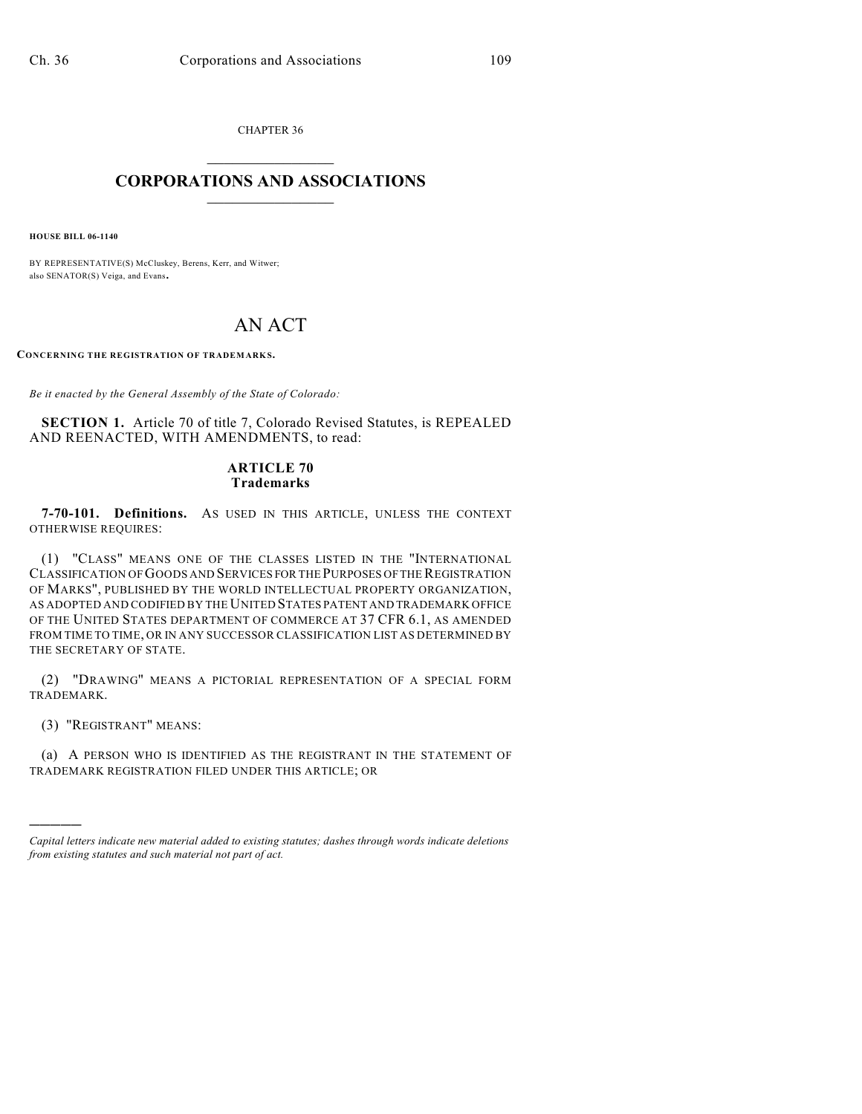CHAPTER 36  $\mathcal{L}_\text{max}$  . The set of the set of the set of the set of the set of the set of the set of the set of the set of the set of the set of the set of the set of the set of the set of the set of the set of the set of the set

## **CORPORATIONS AND ASSOCIATIONS**  $\_$   $\_$   $\_$   $\_$   $\_$   $\_$   $\_$   $\_$   $\_$

**HOUSE BILL 06-1140**

BY REPRESENTATIVE(S) McCluskey, Berens, Kerr, and Witwer; also SENATOR(S) Veiga, and Evans.

## AN ACT

CONCERNING THE REGISTRATION OF TRADEMARKS.

*Be it enacted by the General Assembly of the State of Colorado:*

**SECTION 1.** Article 70 of title 7, Colorado Revised Statutes, is REPEALED AND REENACTED, WITH AMENDMENTS, to read:

## **ARTICLE 70 Trademarks**

**7-70-101. Definitions.** AS USED IN THIS ARTICLE, UNLESS THE CONTEXT OTHERWISE REQUIRES:

(1) "CLASS" MEANS ONE OF THE CLASSES LISTED IN THE "INTERNATIONAL CLASSIFICATION OF GOODS AND SERVICES FOR THE PURPOSES OF THE REGISTRATION OF MARKS", PUBLISHED BY THE WORLD INTELLECTUAL PROPERTY ORGANIZATION, AS ADOPTED AND CODIFIED BY THE UNITED STATES PATENT AND TRADEMARK OFFICE OF THE UNITED STATES DEPARTMENT OF COMMERCE AT 37 CFR 6.1, AS AMENDED FROM TIME TO TIME, OR IN ANY SUCCESSOR CLASSIFICATION LIST AS DETERMINED BY THE SECRETARY OF STATE.

(2) "DRAWING" MEANS A PICTORIAL REPRESENTATION OF A SPECIAL FORM TRADEMARK.

(3) "REGISTRANT" MEANS:

)))))

(a) A PERSON WHO IS IDENTIFIED AS THE REGISTRANT IN THE STATEMENT OF TRADEMARK REGISTRATION FILED UNDER THIS ARTICLE; OR

*Capital letters indicate new material added to existing statutes; dashes through words indicate deletions from existing statutes and such material not part of act.*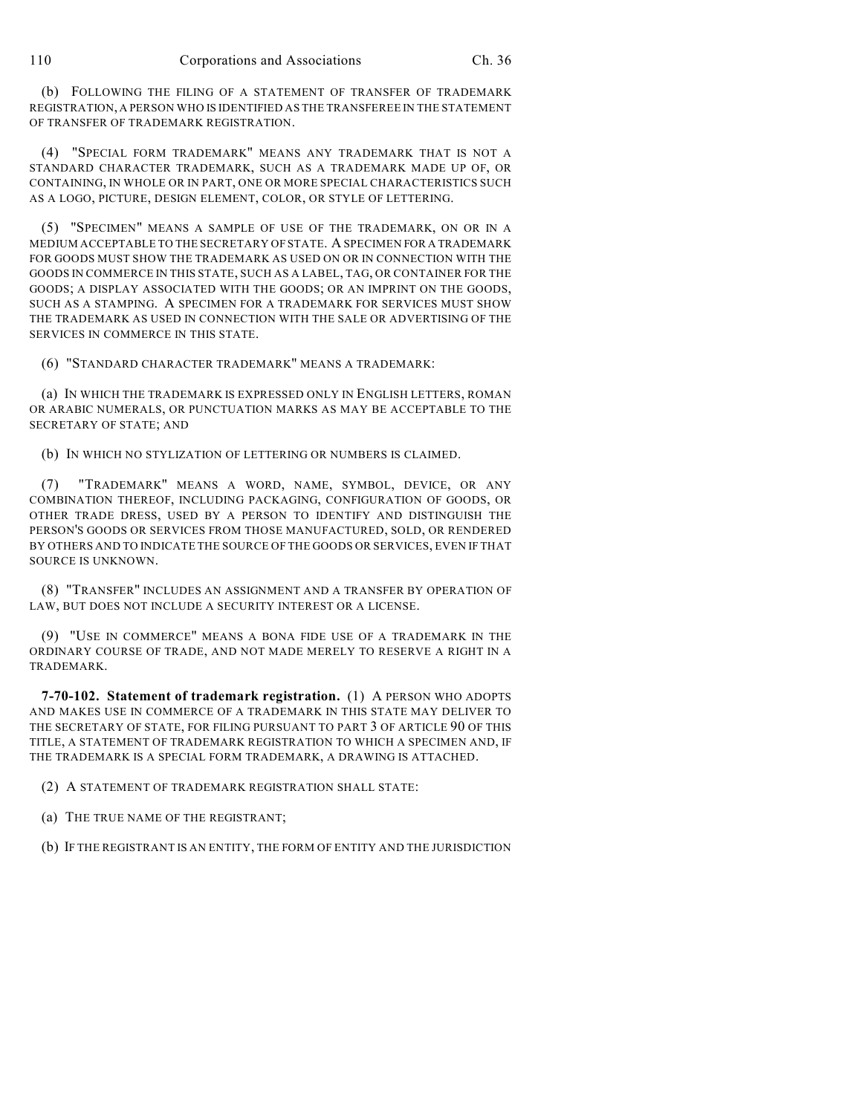(b) FOLLOWING THE FILING OF A STATEMENT OF TRANSFER OF TRADEMARK REGISTRATION, A PERSON WHO IS IDENTIFIED AS THE TRANSFEREE IN THE STATEMENT OF TRANSFER OF TRADEMARK REGISTRATION.

(4) "SPECIAL FORM TRADEMARK" MEANS ANY TRADEMARK THAT IS NOT A STANDARD CHARACTER TRADEMARK, SUCH AS A TRADEMARK MADE UP OF, OR CONTAINING, IN WHOLE OR IN PART, ONE OR MORE SPECIAL CHARACTERISTICS SUCH AS A LOGO, PICTURE, DESIGN ELEMENT, COLOR, OR STYLE OF LETTERING.

(5) "SPECIMEN" MEANS A SAMPLE OF USE OF THE TRADEMARK, ON OR IN A MEDIUM ACCEPTABLE TO THE SECRETARY OF STATE. A SPECIMEN FOR A TRADEMARK FOR GOODS MUST SHOW THE TRADEMARK AS USED ON OR IN CONNECTION WITH THE GOODS IN COMMERCE IN THIS STATE, SUCH AS A LABEL, TAG, OR CONTAINER FOR THE GOODS; A DISPLAY ASSOCIATED WITH THE GOODS; OR AN IMPRINT ON THE GOODS, SUCH AS A STAMPING. A SPECIMEN FOR A TRADEMARK FOR SERVICES MUST SHOW THE TRADEMARK AS USED IN CONNECTION WITH THE SALE OR ADVERTISING OF THE SERVICES IN COMMERCE IN THIS STATE.

(6) "STANDARD CHARACTER TRADEMARK" MEANS A TRADEMARK:

(a) IN WHICH THE TRADEMARK IS EXPRESSED ONLY IN ENGLISH LETTERS, ROMAN OR ARABIC NUMERALS, OR PUNCTUATION MARKS AS MAY BE ACCEPTABLE TO THE SECRETARY OF STATE; AND

(b) IN WHICH NO STYLIZATION OF LETTERING OR NUMBERS IS CLAIMED.

(7) "TRADEMARK" MEANS A WORD, NAME, SYMBOL, DEVICE, OR ANY COMBINATION THEREOF, INCLUDING PACKAGING, CONFIGURATION OF GOODS, OR OTHER TRADE DRESS, USED BY A PERSON TO IDENTIFY AND DISTINGUISH THE PERSON'S GOODS OR SERVICES FROM THOSE MANUFACTURED, SOLD, OR RENDERED BY OTHERS AND TO INDICATE THE SOURCE OF THE GOODS OR SERVICES, EVEN IF THAT SOURCE IS UNKNOWN.

(8) "TRANSFER" INCLUDES AN ASSIGNMENT AND A TRANSFER BY OPERATION OF LAW, BUT DOES NOT INCLUDE A SECURITY INTEREST OR A LICENSE.

(9) "USE IN COMMERCE" MEANS A BONA FIDE USE OF A TRADEMARK IN THE ORDINARY COURSE OF TRADE, AND NOT MADE MERELY TO RESERVE A RIGHT IN A TRADEMARK.

**7-70-102. Statement of trademark registration.** (1) A PERSON WHO ADOPTS AND MAKES USE IN COMMERCE OF A TRADEMARK IN THIS STATE MAY DELIVER TO THE SECRETARY OF STATE, FOR FILING PURSUANT TO PART 3 OF ARTICLE 90 OF THIS TITLE, A STATEMENT OF TRADEMARK REGISTRATION TO WHICH A SPECIMEN AND, IF THE TRADEMARK IS A SPECIAL FORM TRADEMARK, A DRAWING IS ATTACHED.

(2) A STATEMENT OF TRADEMARK REGISTRATION SHALL STATE:

(a) THE TRUE NAME OF THE REGISTRANT;

(b) IF THE REGISTRANT IS AN ENTITY, THE FORM OF ENTITY AND THE JURISDICTION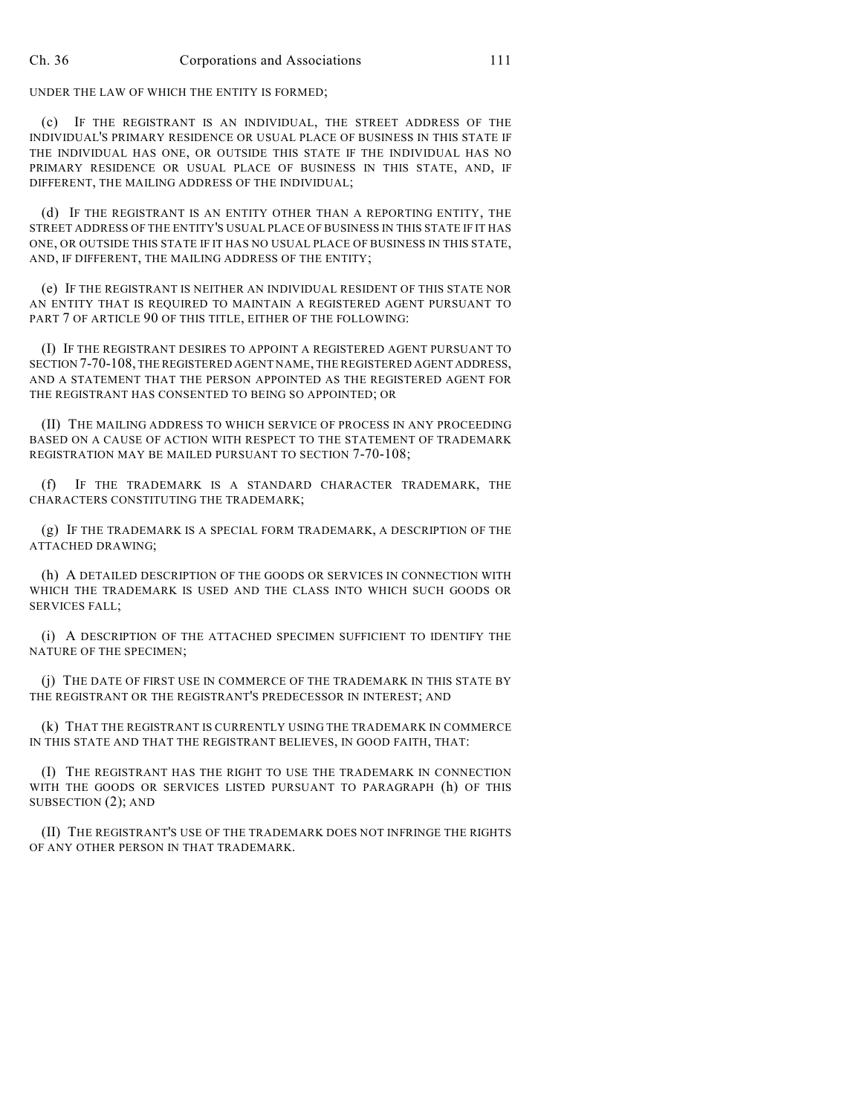UNDER THE LAW OF WHICH THE ENTITY IS FORMED;

(c) IF THE REGISTRANT IS AN INDIVIDUAL, THE STREET ADDRESS OF THE INDIVIDUAL'S PRIMARY RESIDENCE OR USUAL PLACE OF BUSINESS IN THIS STATE IF THE INDIVIDUAL HAS ONE, OR OUTSIDE THIS STATE IF THE INDIVIDUAL HAS NO PRIMARY RESIDENCE OR USUAL PLACE OF BUSINESS IN THIS STATE, AND, IF DIFFERENT, THE MAILING ADDRESS OF THE INDIVIDUAL;

(d) IF THE REGISTRANT IS AN ENTITY OTHER THAN A REPORTING ENTITY, THE STREET ADDRESS OF THE ENTITY'S USUAL PLACE OF BUSINESS IN THIS STATE IF IT HAS ONE, OR OUTSIDE THIS STATE IF IT HAS NO USUAL PLACE OF BUSINESS IN THIS STATE, AND, IF DIFFERENT, THE MAILING ADDRESS OF THE ENTITY;

(e) IF THE REGISTRANT IS NEITHER AN INDIVIDUAL RESIDENT OF THIS STATE NOR AN ENTITY THAT IS REQUIRED TO MAINTAIN A REGISTERED AGENT PURSUANT TO PART 7 OF ARTICLE 90 OF THIS TITLE, EITHER OF THE FOLLOWING:

(I) IF THE REGISTRANT DESIRES TO APPOINT A REGISTERED AGENT PURSUANT TO SECTION 7-70-108, THE REGISTERED AGENT NAME, THE REGISTERED AGENT ADDRESS, AND A STATEMENT THAT THE PERSON APPOINTED AS THE REGISTERED AGENT FOR THE REGISTRANT HAS CONSENTED TO BEING SO APPOINTED; OR

(II) THE MAILING ADDRESS TO WHICH SERVICE OF PROCESS IN ANY PROCEEDING BASED ON A CAUSE OF ACTION WITH RESPECT TO THE STATEMENT OF TRADEMARK REGISTRATION MAY BE MAILED PURSUANT TO SECTION 7-70-108;

(f) IF THE TRADEMARK IS A STANDARD CHARACTER TRADEMARK, THE CHARACTERS CONSTITUTING THE TRADEMARK;

(g) IF THE TRADEMARK IS A SPECIAL FORM TRADEMARK, A DESCRIPTION OF THE ATTACHED DRAWING;

(h) A DETAILED DESCRIPTION OF THE GOODS OR SERVICES IN CONNECTION WITH WHICH THE TRADEMARK IS USED AND THE CLASS INTO WHICH SUCH GOODS OR SERVICES FALL;

(i) A DESCRIPTION OF THE ATTACHED SPECIMEN SUFFICIENT TO IDENTIFY THE NATURE OF THE SPECIMEN;

(j) THE DATE OF FIRST USE IN COMMERCE OF THE TRADEMARK IN THIS STATE BY THE REGISTRANT OR THE REGISTRANT'S PREDECESSOR IN INTEREST; AND

(k) THAT THE REGISTRANT IS CURRENTLY USING THE TRADEMARK IN COMMERCE IN THIS STATE AND THAT THE REGISTRANT BELIEVES, IN GOOD FAITH, THAT:

(I) THE REGISTRANT HAS THE RIGHT TO USE THE TRADEMARK IN CONNECTION WITH THE GOODS OR SERVICES LISTED PURSUANT TO PARAGRAPH (h) OF THIS SUBSECTION (2); AND

(II) THE REGISTRANT'S USE OF THE TRADEMARK DOES NOT INFRINGE THE RIGHTS OF ANY OTHER PERSON IN THAT TRADEMARK.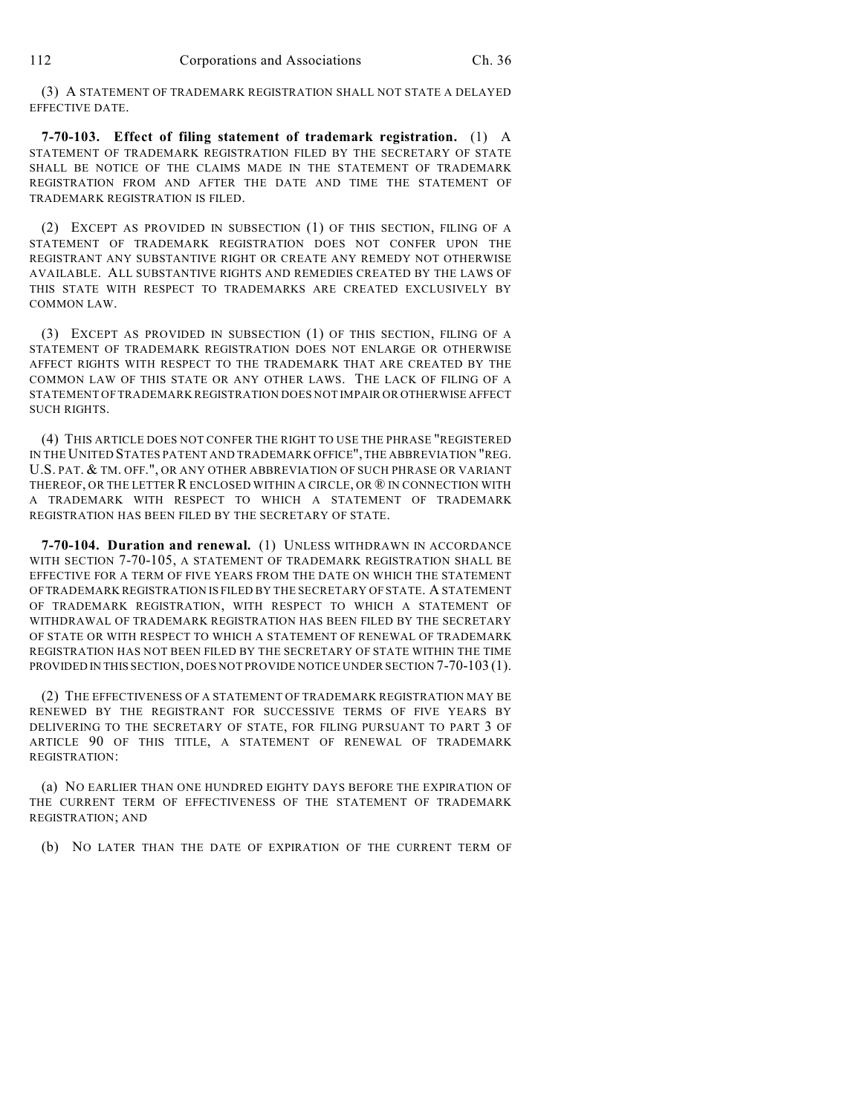(3) A STATEMENT OF TRADEMARK REGISTRATION SHALL NOT STATE A DELAYED EFFECTIVE DATE.

**7-70-103. Effect of filing statement of trademark registration.** (1) A STATEMENT OF TRADEMARK REGISTRATION FILED BY THE SECRETARY OF STATE SHALL BE NOTICE OF THE CLAIMS MADE IN THE STATEMENT OF TRADEMARK REGISTRATION FROM AND AFTER THE DATE AND TIME THE STATEMENT OF TRADEMARK REGISTRATION IS FILED.

(2) EXCEPT AS PROVIDED IN SUBSECTION (1) OF THIS SECTION, FILING OF A STATEMENT OF TRADEMARK REGISTRATION DOES NOT CONFER UPON THE REGISTRANT ANY SUBSTANTIVE RIGHT OR CREATE ANY REMEDY NOT OTHERWISE AVAILABLE. ALL SUBSTANTIVE RIGHTS AND REMEDIES CREATED BY THE LAWS OF THIS STATE WITH RESPECT TO TRADEMARKS ARE CREATED EXCLUSIVELY BY COMMON LAW.

(3) EXCEPT AS PROVIDED IN SUBSECTION (1) OF THIS SECTION, FILING OF A STATEMENT OF TRADEMARK REGISTRATION DOES NOT ENLARGE OR OTHERWISE AFFECT RIGHTS WITH RESPECT TO THE TRADEMARK THAT ARE CREATED BY THE COMMON LAW OF THIS STATE OR ANY OTHER LAWS. THE LACK OF FILING OF A STATEMENT OF TRADEMARK REGISTRATION DOES NOT IMPAIR OR OTHERWISE AFFECT SUCH RIGHTS.

(4) THIS ARTICLE DOES NOT CONFER THE RIGHT TO USE THE PHRASE "REGISTERED IN THE UNITED STATES PATENT AND TRADEMARK OFFICE", THE ABBREVIATION "REG. U.S. PAT. & TM. OFF.", OR ANY OTHER ABBREVIATION OF SUCH PHRASE OR VARIANT THEREOF, OR THE LETTER R ENCLOSED WITHIN A CIRCLE, OR ® IN CONNECTION WITH A TRADEMARK WITH RESPECT TO WHICH A STATEMENT OF TRADEMARK REGISTRATION HAS BEEN FILED BY THE SECRETARY OF STATE.

**7-70-104. Duration and renewal.** (1) UNLESS WITHDRAWN IN ACCORDANCE WITH SECTION 7-70-105, A STATEMENT OF TRADEMARK REGISTRATION SHALL BE EFFECTIVE FOR A TERM OF FIVE YEARS FROM THE DATE ON WHICH THE STATEMENT OF TRADEMARK REGISTRATION IS FILED BY THE SECRETARY OF STATE. A STATEMENT OF TRADEMARK REGISTRATION, WITH RESPECT TO WHICH A STATEMENT OF WITHDRAWAL OF TRADEMARK REGISTRATION HAS BEEN FILED BY THE SECRETARY OF STATE OR WITH RESPECT TO WHICH A STATEMENT OF RENEWAL OF TRADEMARK REGISTRATION HAS NOT BEEN FILED BY THE SECRETARY OF STATE WITHIN THE TIME PROVIDED IN THIS SECTION, DOES NOT PROVIDE NOTICE UNDER SECTION 7-70-103 (1).

(2) THE EFFECTIVENESS OF A STATEMENT OF TRADEMARK REGISTRATION MAY BE RENEWED BY THE REGISTRANT FOR SUCCESSIVE TERMS OF FIVE YEARS BY DELIVERING TO THE SECRETARY OF STATE, FOR FILING PURSUANT TO PART 3 OF ARTICLE 90 OF THIS TITLE, A STATEMENT OF RENEWAL OF TRADEMARK REGISTRATION:

(a) NO EARLIER THAN ONE HUNDRED EIGHTY DAYS BEFORE THE EXPIRATION OF THE CURRENT TERM OF EFFECTIVENESS OF THE STATEMENT OF TRADEMARK REGISTRATION; AND

(b) NO LATER THAN THE DATE OF EXPIRATION OF THE CURRENT TERM OF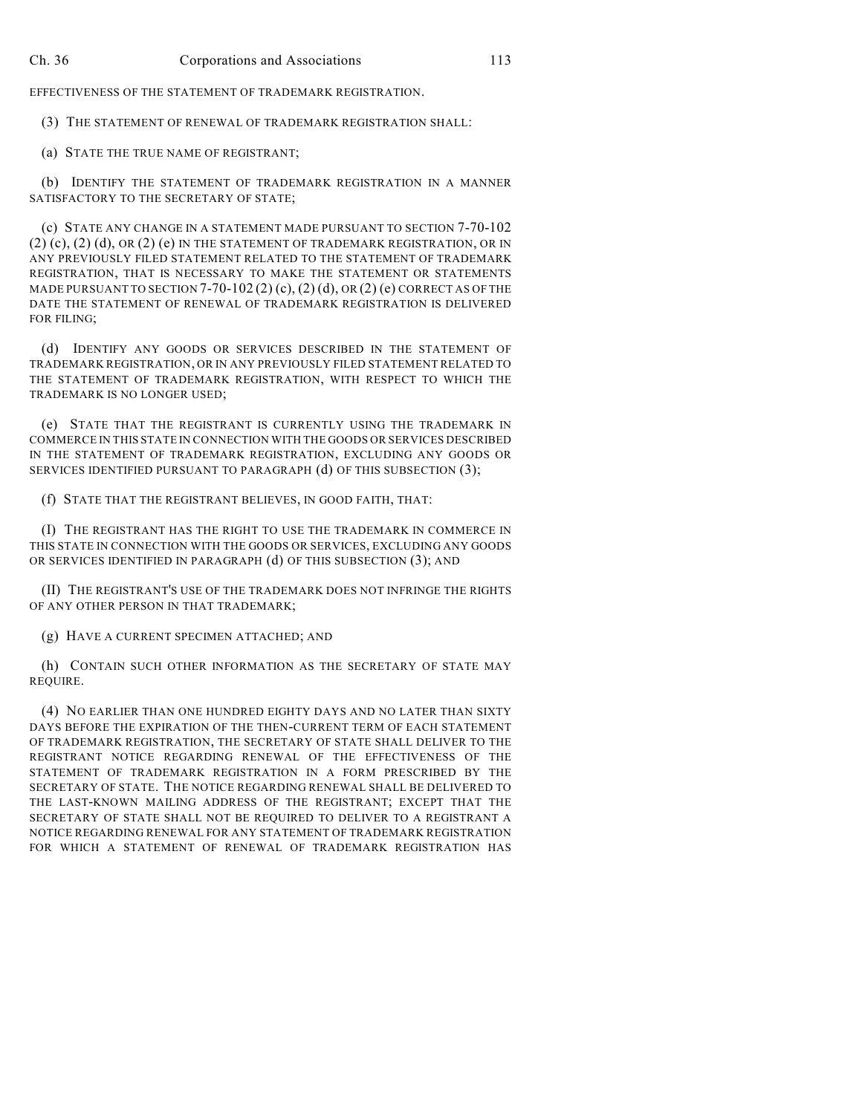EFFECTIVENESS OF THE STATEMENT OF TRADEMARK REGISTRATION.

(3) THE STATEMENT OF RENEWAL OF TRADEMARK REGISTRATION SHALL:

(a) STATE THE TRUE NAME OF REGISTRANT;

(b) IDENTIFY THE STATEMENT OF TRADEMARK REGISTRATION IN A MANNER SATISFACTORY TO THE SECRETARY OF STATE;

(c) STATE ANY CHANGE IN A STATEMENT MADE PURSUANT TO SECTION 7-70-102  $(2)$   $(c)$ ,  $(2)$   $(d)$ ,  $OR$   $(2)$   $(e)$  IN THE STATEMENT OF TRADEMARK REGISTRATION, OR IN ANY PREVIOUSLY FILED STATEMENT RELATED TO THE STATEMENT OF TRADEMARK REGISTRATION, THAT IS NECESSARY TO MAKE THE STATEMENT OR STATEMENTS MADE PURSUANT TO SECTION 7-70-102 (2) (c), (2) (d), OR (2) (e) CORRECT AS OF THE DATE THE STATEMENT OF RENEWAL OF TRADEMARK REGISTRATION IS DELIVERED FOR FILING;

(d) IDENTIFY ANY GOODS OR SERVICES DESCRIBED IN THE STATEMENT OF TRADEMARK REGISTRATION, OR IN ANY PREVIOUSLY FILED STATEMENT RELATED TO THE STATEMENT OF TRADEMARK REGISTRATION, WITH RESPECT TO WHICH THE TRADEMARK IS NO LONGER USED;

(e) STATE THAT THE REGISTRANT IS CURRENTLY USING THE TRADEMARK IN COMMERCE IN THIS STATE IN CONNECTION WITH THE GOODS OR SERVICES DESCRIBED IN THE STATEMENT OF TRADEMARK REGISTRATION, EXCLUDING ANY GOODS OR SERVICES IDENTIFIED PURSUANT TO PARAGRAPH (d) OF THIS SUBSECTION (3);

(f) STATE THAT THE REGISTRANT BELIEVES, IN GOOD FAITH, THAT:

(I) THE REGISTRANT HAS THE RIGHT TO USE THE TRADEMARK IN COMMERCE IN THIS STATE IN CONNECTION WITH THE GOODS OR SERVICES, EXCLUDING ANY GOODS OR SERVICES IDENTIFIED IN PARAGRAPH (d) OF THIS SUBSECTION (3); AND

(II) THE REGISTRANT'S USE OF THE TRADEMARK DOES NOT INFRINGE THE RIGHTS OF ANY OTHER PERSON IN THAT TRADEMARK;

(g) HAVE A CURRENT SPECIMEN ATTACHED; AND

(h) CONTAIN SUCH OTHER INFORMATION AS THE SECRETARY OF STATE MAY REQUIRE.

(4) NO EARLIER THAN ONE HUNDRED EIGHTY DAYS AND NO LATER THAN SIXTY DAYS BEFORE THE EXPIRATION OF THE THEN-CURRENT TERM OF EACH STATEMENT OF TRADEMARK REGISTRATION, THE SECRETARY OF STATE SHALL DELIVER TO THE REGISTRANT NOTICE REGARDING RENEWAL OF THE EFFECTIVENESS OF THE STATEMENT OF TRADEMARK REGISTRATION IN A FORM PRESCRIBED BY THE SECRETARY OF STATE. THE NOTICE REGARDING RENEWAL SHALL BE DELIVERED TO THE LAST-KNOWN MAILING ADDRESS OF THE REGISTRANT; EXCEPT THAT THE SECRETARY OF STATE SHALL NOT BE REQUIRED TO DELIVER TO A REGISTRANT A NOTICE REGARDING RENEWAL FOR ANY STATEMENT OF TRADEMARK REGISTRATION FOR WHICH A STATEMENT OF RENEWAL OF TRADEMARK REGISTRATION HAS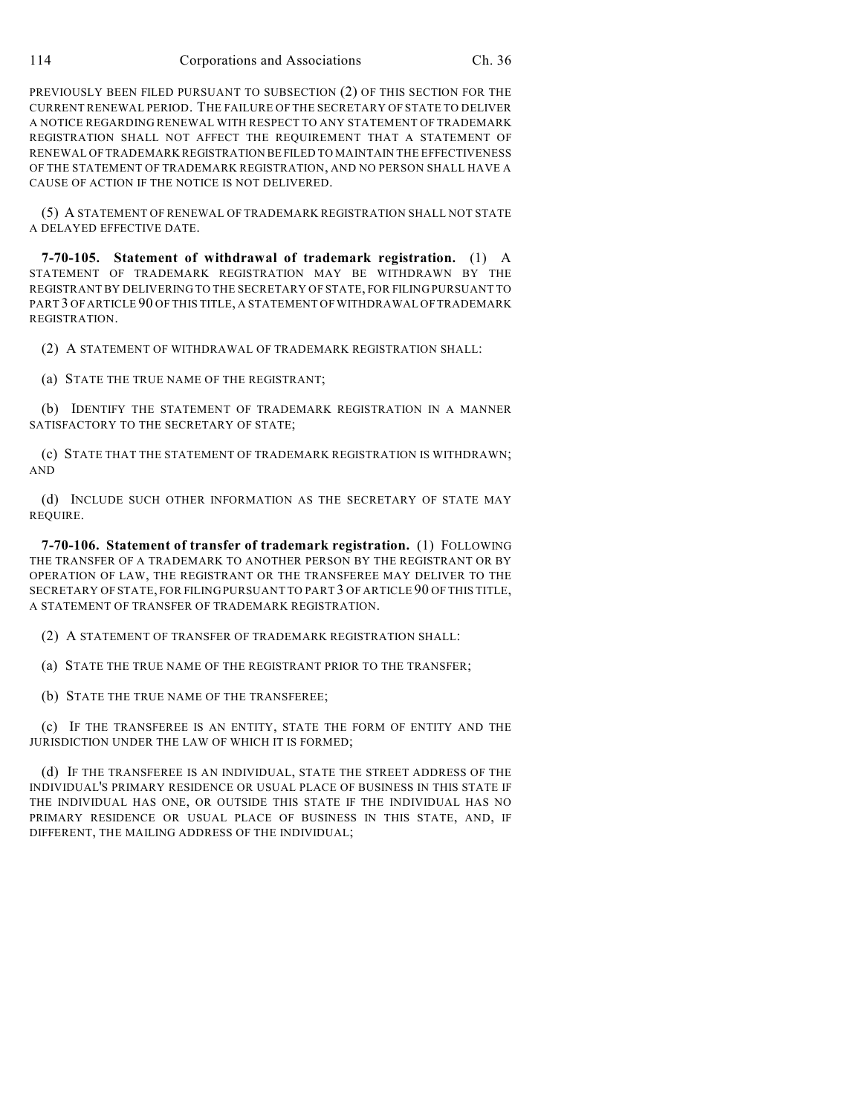PREVIOUSLY BEEN FILED PURSUANT TO SUBSECTION (2) OF THIS SECTION FOR THE CURRENT RENEWAL PERIOD. THE FAILURE OF THE SECRETARY OF STATE TO DELIVER A NOTICE REGARDING RENEWAL WITH RESPECT TO ANY STATEMENT OF TRADEMARK REGISTRATION SHALL NOT AFFECT THE REQUIREMENT THAT A STATEMENT OF RENEWAL OF TRADEMARK REGISTRATION BE FILED TO MAINTAIN THE EFFECTIVENESS OF THE STATEMENT OF TRADEMARK REGISTRATION, AND NO PERSON SHALL HAVE A CAUSE OF ACTION IF THE NOTICE IS NOT DELIVERED.

(5) A STATEMENT OF RENEWAL OF TRADEMARK REGISTRATION SHALL NOT STATE A DELAYED EFFECTIVE DATE.

**7-70-105. Statement of withdrawal of trademark registration.** (1) A STATEMENT OF TRADEMARK REGISTRATION MAY BE WITHDRAWN BY THE REGISTRANT BY DELIVERING TO THE SECRETARY OF STATE, FOR FILING PURSUANT TO PART 3 OF ARTICLE 90 OF THIS TITLE, A STATEMENT OF WITHDRAWAL OF TRADEMARK REGISTRATION.

(2) A STATEMENT OF WITHDRAWAL OF TRADEMARK REGISTRATION SHALL:

(a) STATE THE TRUE NAME OF THE REGISTRANT;

(b) IDENTIFY THE STATEMENT OF TRADEMARK REGISTRATION IN A MANNER SATISFACTORY TO THE SECRETARY OF STATE;

(c) STATE THAT THE STATEMENT OF TRADEMARK REGISTRATION IS WITHDRAWN; AND

(d) INCLUDE SUCH OTHER INFORMATION AS THE SECRETARY OF STATE MAY REQUIRE.

**7-70-106. Statement of transfer of trademark registration.** (1) FOLLOWING THE TRANSFER OF A TRADEMARK TO ANOTHER PERSON BY THE REGISTRANT OR BY OPERATION OF LAW, THE REGISTRANT OR THE TRANSFEREE MAY DELIVER TO THE SECRETARY OF STATE, FOR FILING PURSUANT TO PART 3 OF ARTICLE 90 OF THIS TITLE, A STATEMENT OF TRANSFER OF TRADEMARK REGISTRATION.

(2) A STATEMENT OF TRANSFER OF TRADEMARK REGISTRATION SHALL:

(a) STATE THE TRUE NAME OF THE REGISTRANT PRIOR TO THE TRANSFER;

(b) STATE THE TRUE NAME OF THE TRANSFEREE;

(c) IF THE TRANSFEREE IS AN ENTITY, STATE THE FORM OF ENTITY AND THE JURISDICTION UNDER THE LAW OF WHICH IT IS FORMED;

(d) IF THE TRANSFEREE IS AN INDIVIDUAL, STATE THE STREET ADDRESS OF THE INDIVIDUAL'S PRIMARY RESIDENCE OR USUAL PLACE OF BUSINESS IN THIS STATE IF THE INDIVIDUAL HAS ONE, OR OUTSIDE THIS STATE IF THE INDIVIDUAL HAS NO PRIMARY RESIDENCE OR USUAL PLACE OF BUSINESS IN THIS STATE, AND, IF DIFFERENT, THE MAILING ADDRESS OF THE INDIVIDUAL;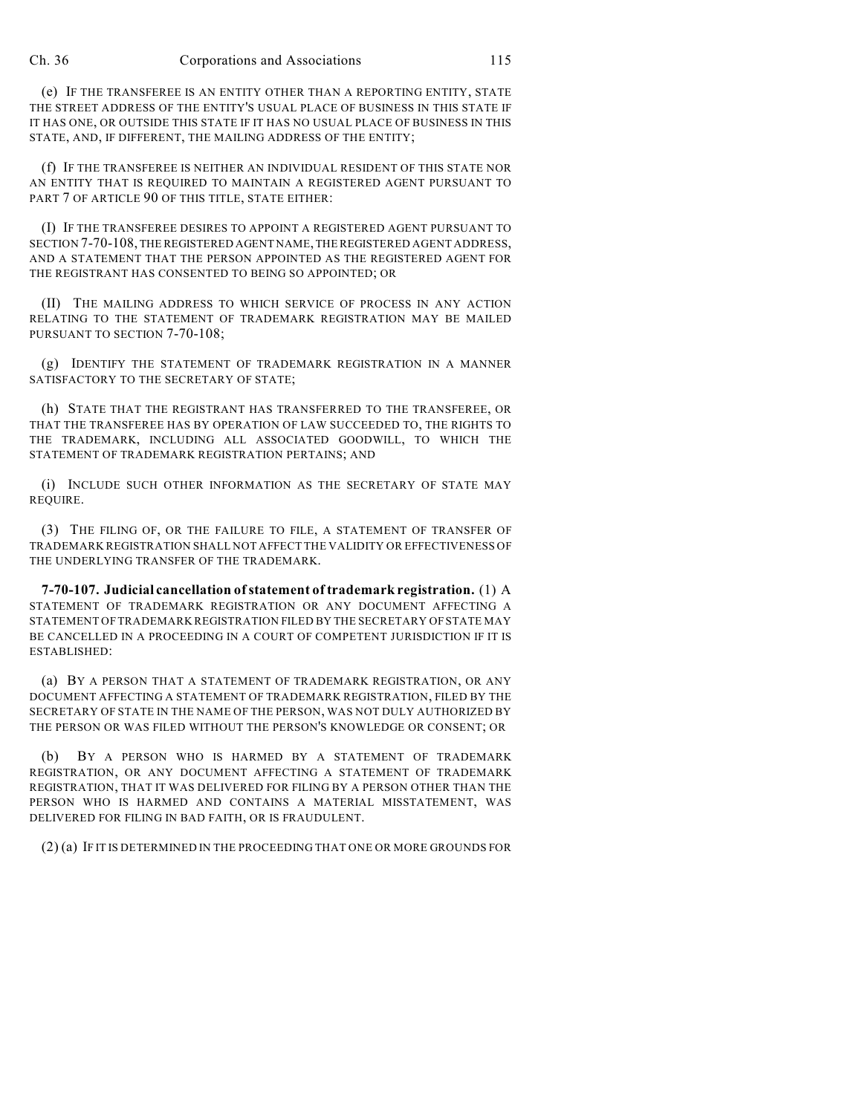(e) IF THE TRANSFEREE IS AN ENTITY OTHER THAN A REPORTING ENTITY, STATE THE STREET ADDRESS OF THE ENTITY'S USUAL PLACE OF BUSINESS IN THIS STATE IF IT HAS ONE, OR OUTSIDE THIS STATE IF IT HAS NO USUAL PLACE OF BUSINESS IN THIS STATE, AND, IF DIFFERENT, THE MAILING ADDRESS OF THE ENTITY;

(f) IF THE TRANSFEREE IS NEITHER AN INDIVIDUAL RESIDENT OF THIS STATE NOR AN ENTITY THAT IS REQUIRED TO MAINTAIN A REGISTERED AGENT PURSUANT TO PART 7 OF ARTICLE 90 OF THIS TITLE, STATE EITHER:

(I) IF THE TRANSFEREE DESIRES TO APPOINT A REGISTERED AGENT PURSUANT TO SECTION 7-70-108, THE REGISTERED AGENT NAME, THE REGISTERED AGENT ADDRESS, AND A STATEMENT THAT THE PERSON APPOINTED AS THE REGISTERED AGENT FOR THE REGISTRANT HAS CONSENTED TO BEING SO APPOINTED; OR

(II) THE MAILING ADDRESS TO WHICH SERVICE OF PROCESS IN ANY ACTION RELATING TO THE STATEMENT OF TRADEMARK REGISTRATION MAY BE MAILED PURSUANT TO SECTION 7-70-108;

(g) IDENTIFY THE STATEMENT OF TRADEMARK REGISTRATION IN A MANNER SATISFACTORY TO THE SECRETARY OF STATE;

(h) STATE THAT THE REGISTRANT HAS TRANSFERRED TO THE TRANSFEREE, OR THAT THE TRANSFEREE HAS BY OPERATION OF LAW SUCCEEDED TO, THE RIGHTS TO THE TRADEMARK, INCLUDING ALL ASSOCIATED GOODWILL, TO WHICH THE STATEMENT OF TRADEMARK REGISTRATION PERTAINS; AND

(i) INCLUDE SUCH OTHER INFORMATION AS THE SECRETARY OF STATE MAY REQUIRE.

(3) THE FILING OF, OR THE FAILURE TO FILE, A STATEMENT OF TRANSFER OF TRADEMARK REGISTRATION SHALL NOT AFFECT THE VALIDITY OR EFFECTIVENESS OF THE UNDERLYING TRANSFER OF THE TRADEMARK.

**7-70-107. Judicial cancellation of statement of trademark registration.** (1) A STATEMENT OF TRADEMARK REGISTRATION OR ANY DOCUMENT AFFECTING A STATEMENT OF TRADEMARK REGISTRATION FILED BY THE SECRETARY OF STATE MAY BE CANCELLED IN A PROCEEDING IN A COURT OF COMPETENT JURISDICTION IF IT IS ESTABLISHED:

(a) BY A PERSON THAT A STATEMENT OF TRADEMARK REGISTRATION, OR ANY DOCUMENT AFFECTING A STATEMENT OF TRADEMARK REGISTRATION, FILED BY THE SECRETARY OF STATE IN THE NAME OF THE PERSON, WAS NOT DULY AUTHORIZED BY THE PERSON OR WAS FILED WITHOUT THE PERSON'S KNOWLEDGE OR CONSENT; OR

(b) BY A PERSON WHO IS HARMED BY A STATEMENT OF TRADEMARK REGISTRATION, OR ANY DOCUMENT AFFECTING A STATEMENT OF TRADEMARK REGISTRATION, THAT IT WAS DELIVERED FOR FILING BY A PERSON OTHER THAN THE PERSON WHO IS HARMED AND CONTAINS A MATERIAL MISSTATEMENT, WAS DELIVERED FOR FILING IN BAD FAITH, OR IS FRAUDULENT.

(2) (a) IF IT IS DETERMINED IN THE PROCEEDING THAT ONE OR MORE GROUNDS FOR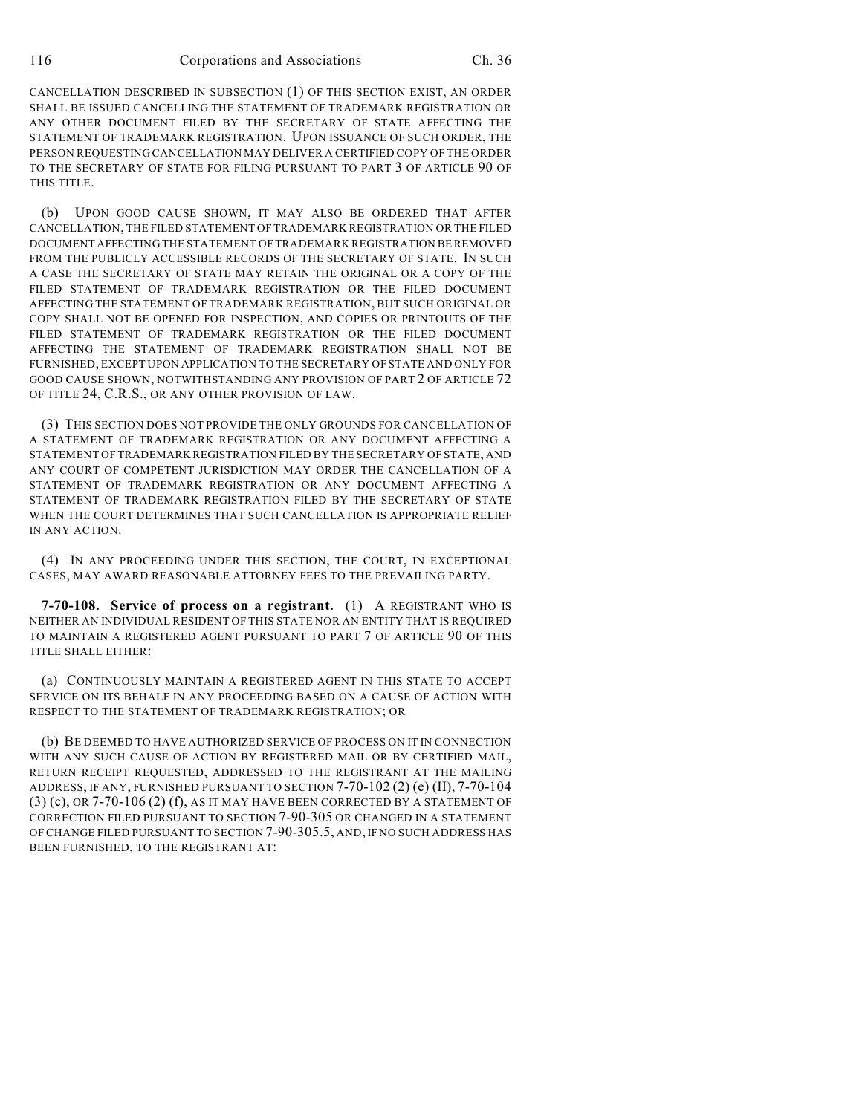CANCELLATION DESCRIBED IN SUBSECTION (1) OF THIS SECTION EXIST, AN ORDER SHALL BE ISSUED CANCELLING THE STATEMENT OF TRADEMARK REGISTRATION OR ANY OTHER DOCUMENT FILED BY THE SECRETARY OF STATE AFFECTING THE STATEMENT OF TRADEMARK REGISTRATION. UPON ISSUANCE OF SUCH ORDER, THE PERSON REQUESTING CANCELLATION MAY DELIVER A CERTIFIED COPY OF THE ORDER TO THE SECRETARY OF STATE FOR FILING PURSUANT TO PART 3 OF ARTICLE 90 OF THIS TITLE.

(b) UPON GOOD CAUSE SHOWN, IT MAY ALSO BE ORDERED THAT AFTER CANCELLATION, THE FILED STATEMENT OF TRADEMARK REGISTRATION OR THE FILED DOCUMENT AFFECTING THE STATEMENT OF TRADEMARK REGISTRATION BE REMOVED FROM THE PUBLICLY ACCESSIBLE RECORDS OF THE SECRETARY OF STATE. IN SUCH A CASE THE SECRETARY OF STATE MAY RETAIN THE ORIGINAL OR A COPY OF THE FILED STATEMENT OF TRADEMARK REGISTRATION OR THE FILED DOCUMENT AFFECTING THE STATEMENT OF TRADEMARK REGISTRATION, BUT SUCH ORIGINAL OR COPY SHALL NOT BE OPENED FOR INSPECTION, AND COPIES OR PRINTOUTS OF THE FILED STATEMENT OF TRADEMARK REGISTRATION OR THE FILED DOCUMENT AFFECTING THE STATEMENT OF TRADEMARK REGISTRATION SHALL NOT BE FURNISHED, EXCEPT UPON APPLICATION TO THE SECRETARY OF STATE AND ONLY FOR GOOD CAUSE SHOWN, NOTWITHSTANDING ANY PROVISION OF PART 2 OF ARTICLE 72 OF TITLE 24, C.R.S., OR ANY OTHER PROVISION OF LAW.

(3) THIS SECTION DOES NOT PROVIDE THE ONLY GROUNDS FOR CANCELLATION OF A STATEMENT OF TRADEMARK REGISTRATION OR ANY DOCUMENT AFFECTING A STATEMENT OF TRADEMARK REGISTRATION FILED BY THE SECRETARY OF STATE, AND ANY COURT OF COMPETENT JURISDICTION MAY ORDER THE CANCELLATION OF A STATEMENT OF TRADEMARK REGISTRATION OR ANY DOCUMENT AFFECTING A STATEMENT OF TRADEMARK REGISTRATION FILED BY THE SECRETARY OF STATE WHEN THE COURT DETERMINES THAT SUCH CANCELLATION IS APPROPRIATE RELIEF IN ANY ACTION.

(4) IN ANY PROCEEDING UNDER THIS SECTION, THE COURT, IN EXCEPTIONAL CASES, MAY AWARD REASONABLE ATTORNEY FEES TO THE PREVAILING PARTY.

**7-70-108. Service of process on a registrant.** (1) A REGISTRANT WHO IS NEITHER AN INDIVIDUAL RESIDENT OF THIS STATE NOR AN ENTITY THAT IS REQUIRED TO MAINTAIN A REGISTERED AGENT PURSUANT TO PART 7 OF ARTICLE 90 OF THIS TITLE SHALL EITHER:

(a) CONTINUOUSLY MAINTAIN A REGISTERED AGENT IN THIS STATE TO ACCEPT SERVICE ON ITS BEHALF IN ANY PROCEEDING BASED ON A CAUSE OF ACTION WITH RESPECT TO THE STATEMENT OF TRADEMARK REGISTRATION; OR

(b) BE DEEMED TO HAVE AUTHORIZED SERVICE OF PROCESS ON IT IN CONNECTION WITH ANY SUCH CAUSE OF ACTION BY REGISTERED MAIL OR BY CERTIFIED MAIL, RETURN RECEIPT REQUESTED, ADDRESSED TO THE REGISTRANT AT THE MAILING ADDRESS, IF ANY, FURNISHED PURSUANT TO SECTION 7-70-102 (2) (e) (II), 7-70-104  $(3)$  (c), OR 7-70-106 (2) (f), AS IT MAY HAVE BEEN CORRECTED BY A STATEMENT OF CORRECTION FILED PURSUANT TO SECTION 7-90-305 OR CHANGED IN A STATEMENT OF CHANGE FILED PURSUANT TO SECTION 7-90-305.5, AND, IF NO SUCH ADDRESS HAS BEEN FURNISHED, TO THE REGISTRANT AT: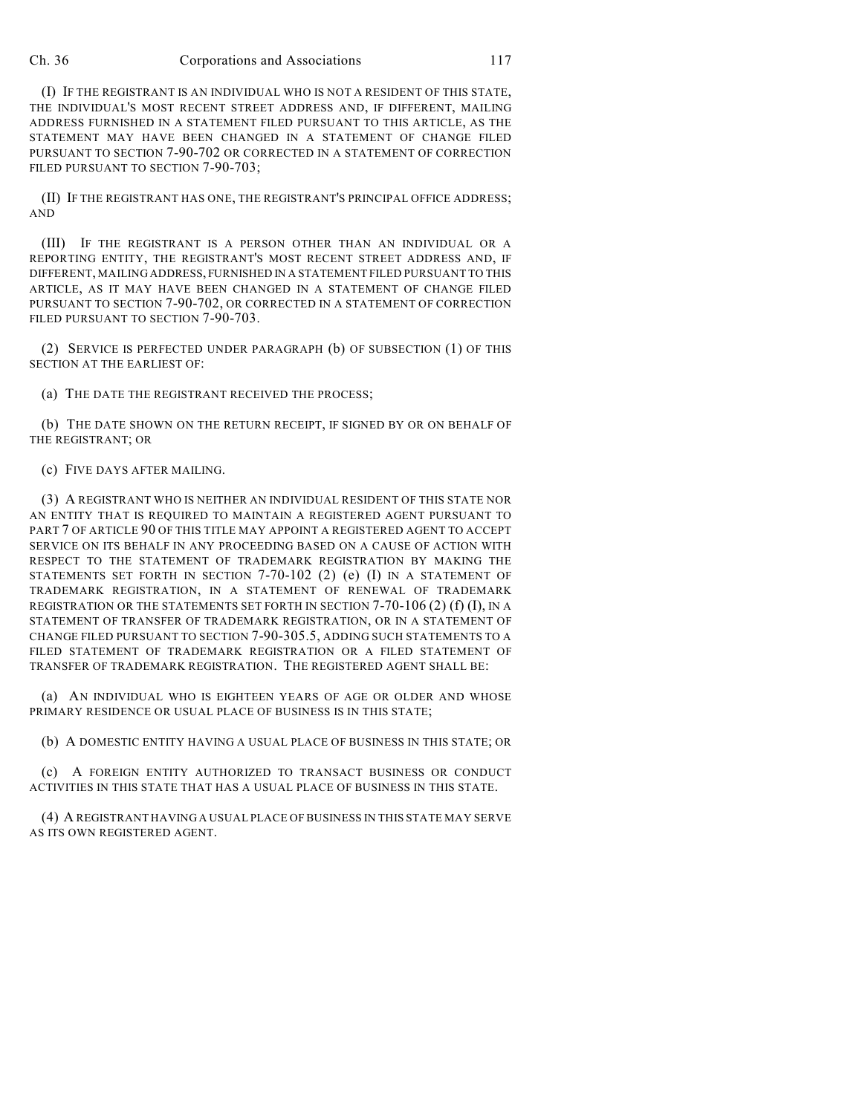## Ch. 36 Corporations and Associations 117

(I) IF THE REGISTRANT IS AN INDIVIDUAL WHO IS NOT A RESIDENT OF THIS STATE, THE INDIVIDUAL'S MOST RECENT STREET ADDRESS AND, IF DIFFERENT, MAILING ADDRESS FURNISHED IN A STATEMENT FILED PURSUANT TO THIS ARTICLE, AS THE STATEMENT MAY HAVE BEEN CHANGED IN A STATEMENT OF CHANGE FILED PURSUANT TO SECTION 7-90-702 OR CORRECTED IN A STATEMENT OF CORRECTION FILED PURSUANT TO SECTION 7-90-703;

(II) IF THE REGISTRANT HAS ONE, THE REGISTRANT'S PRINCIPAL OFFICE ADDRESS; AND

(III) IF THE REGISTRANT IS A PERSON OTHER THAN AN INDIVIDUAL OR A REPORTING ENTITY, THE REGISTRANT'S MOST RECENT STREET ADDRESS AND, IF DIFFERENT, MAILING ADDRESS, FURNISHED IN A STATEMENT FILED PURSUANT TO THIS ARTICLE, AS IT MAY HAVE BEEN CHANGED IN A STATEMENT OF CHANGE FILED PURSUANT TO SECTION 7-90-702, OR CORRECTED IN A STATEMENT OF CORRECTION FILED PURSUANT TO SECTION 7-90-703.

(2) SERVICE IS PERFECTED UNDER PARAGRAPH (b) OF SUBSECTION (1) OF THIS SECTION AT THE EARLIEST OF:

(a) THE DATE THE REGISTRANT RECEIVED THE PROCESS;

(b) THE DATE SHOWN ON THE RETURN RECEIPT, IF SIGNED BY OR ON BEHALF OF THE REGISTRANT; OR

(c) FIVE DAYS AFTER MAILING.

(3) A REGISTRANT WHO IS NEITHER AN INDIVIDUAL RESIDENT OF THIS STATE NOR AN ENTITY THAT IS REQUIRED TO MAINTAIN A REGISTERED AGENT PURSUANT TO PART 7 OF ARTICLE 90 OF THIS TITLE MAY APPOINT A REGISTERED AGENT TO ACCEPT SERVICE ON ITS BEHALF IN ANY PROCEEDING BASED ON A CAUSE OF ACTION WITH RESPECT TO THE STATEMENT OF TRADEMARK REGISTRATION BY MAKING THE STATEMENTS SET FORTH IN SECTION 7-70-102 (2) (e) (I) IN A STATEMENT OF TRADEMARK REGISTRATION, IN A STATEMENT OF RENEWAL OF TRADEMARK REGISTRATION OR THE STATEMENTS SET FORTH IN SECTION 7-70-106 (2) (f) (I), IN A STATEMENT OF TRANSFER OF TRADEMARK REGISTRATION, OR IN A STATEMENT OF CHANGE FILED PURSUANT TO SECTION 7-90-305.5, ADDING SUCH STATEMENTS TO A FILED STATEMENT OF TRADEMARK REGISTRATION OR A FILED STATEMENT OF TRANSFER OF TRADEMARK REGISTRATION. THE REGISTERED AGENT SHALL BE:

(a) AN INDIVIDUAL WHO IS EIGHTEEN YEARS OF AGE OR OLDER AND WHOSE PRIMARY RESIDENCE OR USUAL PLACE OF BUSINESS IS IN THIS STATE;

(b) A DOMESTIC ENTITY HAVING A USUAL PLACE OF BUSINESS IN THIS STATE; OR

(c) A FOREIGN ENTITY AUTHORIZED TO TRANSACT BUSINESS OR CONDUCT ACTIVITIES IN THIS STATE THAT HAS A USUAL PLACE OF BUSINESS IN THIS STATE.

(4) A REGISTRANT HAVING A USUAL PLACE OF BUSINESS IN THIS STATE MAY SERVE AS ITS OWN REGISTERED AGENT.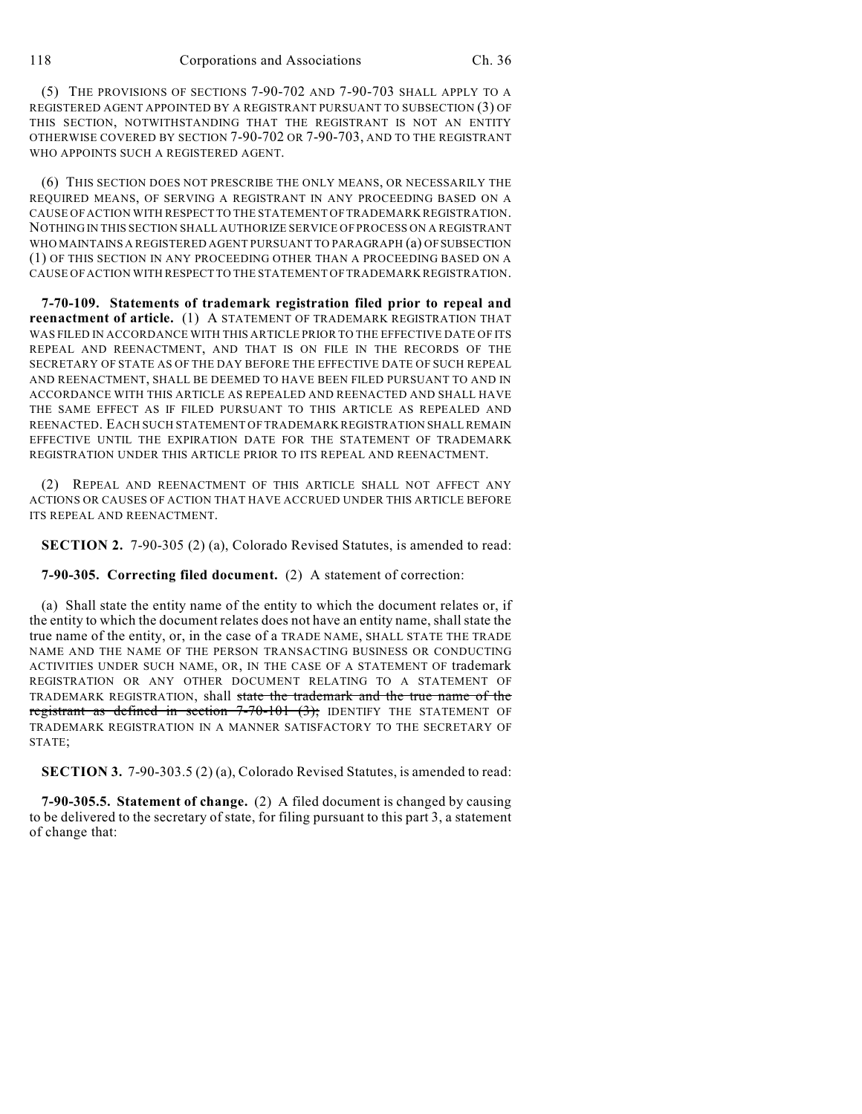(5) THE PROVISIONS OF SECTIONS 7-90-702 AND 7-90-703 SHALL APPLY TO A REGISTERED AGENT APPOINTED BY A REGISTRANT PURSUANT TO SUBSECTION (3) OF THIS SECTION, NOTWITHSTANDING THAT THE REGISTRANT IS NOT AN ENTITY OTHERWISE COVERED BY SECTION 7-90-702 OR 7-90-703, AND TO THE REGISTRANT WHO APPOINTS SUCH A REGISTERED AGENT.

(6) THIS SECTION DOES NOT PRESCRIBE THE ONLY MEANS, OR NECESSARILY THE REQUIRED MEANS, OF SERVING A REGISTRANT IN ANY PROCEEDING BASED ON A CAUSE OF ACTION WITH RESPECT TO THE STATEMENT OF TRADEMARK REGISTRATION. NOTHING IN THIS SECTION SHALL AUTHORIZE SERVICE OF PROCESS ON A REGISTRANT WHO MAINTAINS A REGISTERED AGENT PURSUANT TO PARAGRAPH (a) OF SUBSECTION (1) OF THIS SECTION IN ANY PROCEEDING OTHER THAN A PROCEEDING BASED ON A CAUSE OF ACTION WITH RESPECT TO THE STATEMENT OF TRADEMARK REGISTRATION.

**7-70-109. Statements of trademark registration filed prior to repeal and reenactment of article.** (1) A STATEMENT OF TRADEMARK REGISTRATION THAT WAS FILED IN ACCORDANCE WITH THIS ARTICLE PRIOR TO THE EFFECTIVE DATE OF ITS REPEAL AND REENACTMENT, AND THAT IS ON FILE IN THE RECORDS OF THE SECRETARY OF STATE AS OF THE DAY BEFORE THE EFFECTIVE DATE OF SUCH REPEAL AND REENACTMENT, SHALL BE DEEMED TO HAVE BEEN FILED PURSUANT TO AND IN ACCORDANCE WITH THIS ARTICLE AS REPEALED AND REENACTED AND SHALL HAVE THE SAME EFFECT AS IF FILED PURSUANT TO THIS ARTICLE AS REPEALED AND REENACTED. EACH SUCH STATEMENT OF TRADEMARK REGISTRATION SHALL REMAIN EFFECTIVE UNTIL THE EXPIRATION DATE FOR THE STATEMENT OF TRADEMARK REGISTRATION UNDER THIS ARTICLE PRIOR TO ITS REPEAL AND REENACTMENT.

(2) REPEAL AND REENACTMENT OF THIS ARTICLE SHALL NOT AFFECT ANY ACTIONS OR CAUSES OF ACTION THAT HAVE ACCRUED UNDER THIS ARTICLE BEFORE ITS REPEAL AND REENACTMENT.

**SECTION 2.** 7-90-305 (2) (a), Colorado Revised Statutes, is amended to read:

**7-90-305. Correcting filed document.** (2) A statement of correction:

(a) Shall state the entity name of the entity to which the document relates or, if the entity to which the document relates does not have an entity name, shall state the true name of the entity, or, in the case of a TRADE NAME, SHALL STATE THE TRADE NAME AND THE NAME OF THE PERSON TRANSACTING BUSINESS OR CONDUCTING ACTIVITIES UNDER SUCH NAME, OR, IN THE CASE OF A STATEMENT OF trademark REGISTRATION OR ANY OTHER DOCUMENT RELATING TO A STATEMENT OF TRADEMARK REGISTRATION, shall state the trademark and the true name of the registrant as defined in section 7-70-101 (3); IDENTIFY THE STATEMENT OF TRADEMARK REGISTRATION IN A MANNER SATISFACTORY TO THE SECRETARY OF STATE;

**SECTION 3.** 7-90-303.5 (2) (a), Colorado Revised Statutes, is amended to read:

**7-90-305.5. Statement of change.** (2) A filed document is changed by causing to be delivered to the secretary of state, for filing pursuant to this part 3, a statement of change that: